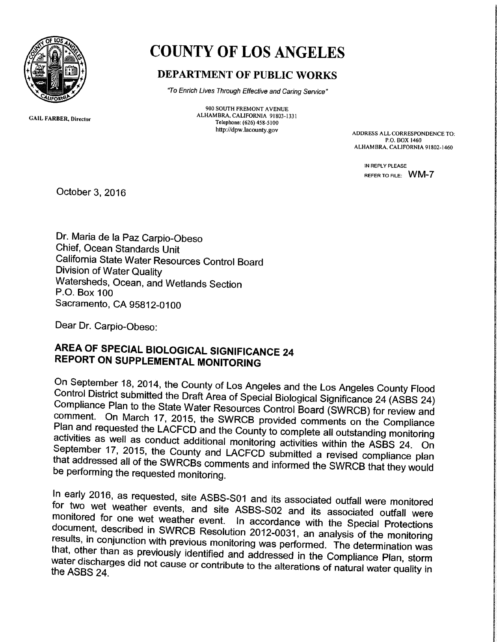

## COUNTY OF LOS ANGELES

## DEPARTMENT OF PUBLIC WORKS

"To Enrich Lives Through Effective and Caring Service"

GAIL FARBER, Director

900 SOUTH FREMONT AVENUE ALFIAMBRA, CALIFORNIA 91803-1331 Telephone: (626) 458-5100

http://dpw.lacounty.gov ADDRESS ALL CORRESPONDENCE TO: P.O. 80X 1460 ALHAMBRA. CALIFORNIA 91802-1460

> IN REPLY PLEASE REFER TO FILE: WM-7

October 3, 2016

Dr. Maria de la Paz Carpio-Obeso Chief, Ocean Standards Unit California State Water Resources Control Board Division of Water Quality Watersheds, Ocean, and Wetlands Section P.O. Box 100 Sacramento, CA 95812-0100

Dear Dr. Carpio-Obeso:

## AREA OF SPECIAL BIOLOGICAL SIGNIFICANCE <sup>24</sup> REPORT ON SUPPLEMENTAL MONITORING

On September 18, 2014, the County of Los Angeles and the Los Angeles County Flood<br>Control District submitted the Draft Area of Special Biological Significance 24 (ASBS 24)<br>Compliance Plan to the State Water Resources Contr

In early 2016, as requested, site ASBS-S01 and its associated outfall were monitored<br>for two wet weather events, and site ASBS-S02 and its associated outfall were<br>monitored for one wet weather event. In accordance with the that, other than as previously identified and addressed in the Compliance Plan, storm results, in conjunction with previous monitoring was performed. The determination was water c water discharges did not cause or contribute to the alterations of natural water quality in<br>the ASBS 24.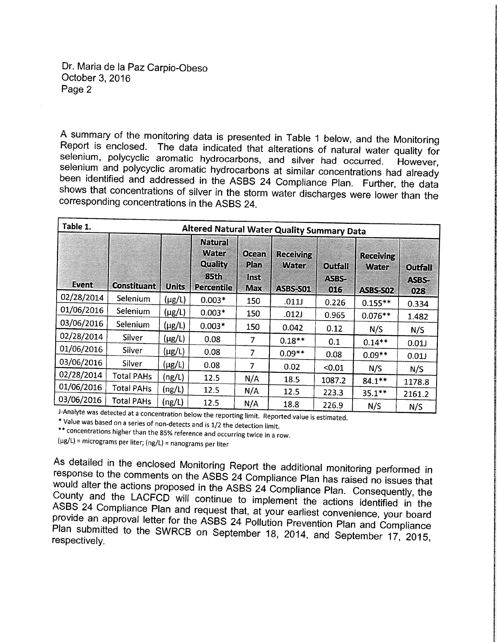## Dr. Maria de la Paz Carpio-Obeso October 3, 2016 Page 2

A summary of the monitoring data is presented in Table 1 below, and the Monitoring<br>Report is enclosed. The data indicated that alterations of natural water quality for selenium, polycyclic aromatic hydrocarbons, and silver had occurred. However, selenium and polycyclic aromatic hydrocarbons at similar concentrations had already been identified and addressed in the ASBS 24 Compliance Plan

| Table 1.<br>Altered Natural Water Quality Summary Data |                    |              |                                                                 |                                            |                                                     |                                |                                              |                                |
|--------------------------------------------------------|--------------------|--------------|-----------------------------------------------------------------|--------------------------------------------|-----------------------------------------------------|--------------------------------|----------------------------------------------|--------------------------------|
| Event                                                  | <b>Constituant</b> | <b>Units</b> | <b>Natural</b><br>Water<br>Quality<br>85th<br><b>Percentile</b> | <b>Ocean</b><br>Plan<br>Inst<br><b>Max</b> | <b>Receiving</b><br><b>Water</b><br><b>ASBS-S01</b> | <b>Outfall</b><br>ASBS-<br>016 | <b>Receiving</b><br><b>Water</b><br>ASBS-S02 | <b>Outfall</b><br>ASBS-<br>028 |
| 02/28/2014                                             | Selenium           | $(\mu g/L)$  | $0.003*$                                                        | 150                                        | .011J                                               | 0.226                          | $0.155**$                                    | 0.334                          |
| 01/06/2016                                             | <b>Selenium</b>    | $(\mu g/L)$  | $0.003*$                                                        | 150                                        | .012J                                               | 0.965                          | $0.076**$                                    | 1.482                          |
| 03/06/2016                                             | Selenium           | $(\mu g/L)$  | $0.003*$                                                        | 150                                        | 0.042                                               | 0.12                           | N/S                                          | N/S                            |
| 02/28/2014                                             | Silver             | $(\mu g/L)$  | 0.08                                                            | 7                                          | $0.18**$                                            | 0.1                            | $0.14**$                                     | 0.01                           |
| 01/06/2016                                             | Silver             | $(\mu g/L)$  | 0.08                                                            | 7                                          | $0.09**$                                            | 0.08                           | $0.09**$                                     | 0.01                           |
| 03/06/2016                                             | Silver             | $(\mu g/L)$  | 0.08                                                            | 7                                          | 0.02                                                | < 0.01                         | N/S                                          |                                |
| 02/28/2014                                             | <b>Total PAHs</b>  | (ng/L)       | 12.5                                                            | N/A                                        | 18.5                                                | 1087.2                         | $84.1***$                                    | N/S                            |
| 01/06/2016                                             | <b>Total PAHs</b>  | (ng/L)       | 12.5                                                            | N/A                                        | 12.5                                                | 223.3                          |                                              | 1178.8                         |
| 03/06/2016                                             | <b>Total PAHs</b>  | (ng/L)       | 12.5                                                            | N/A                                        | 18.8                                                | 226.9                          | $35.1***$                                    | 2161.2                         |
|                                                        |                    |              |                                                                 |                                            |                                                     |                                | N/S                                          | N/S                            |

J-Analyte was detected at a concentration below the reporting limit. Reported value is estimated.<br>\* Value was based on a series of non-detects and is 1/2 the detection limit.<br>\*\* concentrations higher than the 85% reference

(µg/L) =micrograms per liter; (ng/L) = nanograms per liter

As detailed in the enclosed Monitoring Report the additional monitoring performed in response to the comments on the ASBS 24 Compliance Plan has raised no issues that would alter the actions proposed in the ASBS 24 Complia ASBS 24 Compliance Plan and request that, at your earliest convenience, your board provide an approval letter for the ASBS 24 Pollution Prevention Plan and Compliance respectively. Plan submitted to the SWRCB on September 18, 2014, and September 17, 2015,